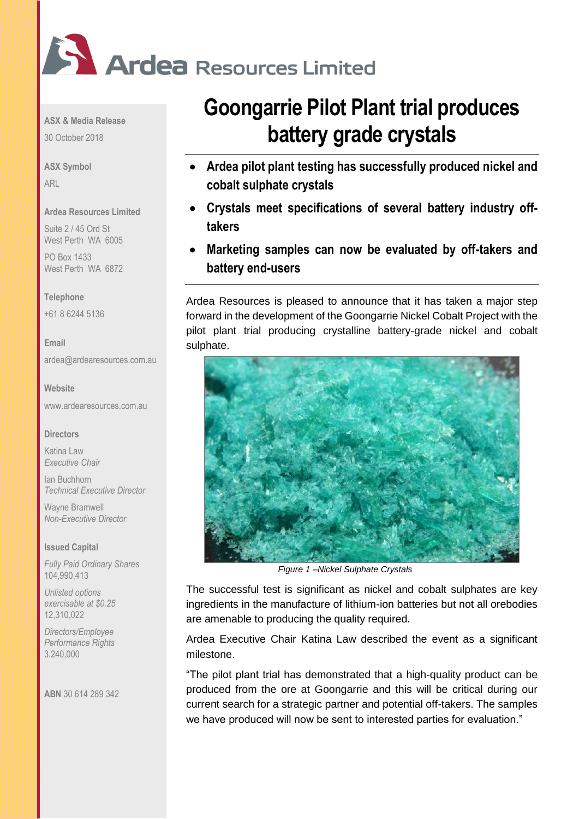

**ASX & Media Release**

30 October 2018

**ASX Symbol** ARL

### **Ardea Resources Limited**

Suite 2 / 45 Ord St West Perth WA 6005

PO Box 1433 West Perth WA 6872

### **Telephone**

+61 8 6244 5136

**Email** [ardea@ardearesources.com.au](mailto:ardea@ardearesources.com.au)

### **Website**

[www.ardearesources.com.au](http://www.ardearesources.com.au/)

### **Directors**

Katina Law *Executive Chair*

Ian Buchhorn *Technical Executive Director*

Wayne Bramwell *Non-Executive Director*

### **Issued Capital**

*Fully Paid Ordinary Shares* 104,990,413

*Unlisted options exercisable at \$0.25* 12,310,022

*Directors/Employee Performance Rights* 3.240,000

**ABN** 30 614 289 342

# **Goongarrie Pilot Plant trial produces battery grade crystals**

- **Ardea pilot plant testing has successfully produced nickel and cobalt sulphate crystals**
- **Crystals meet specifications of several battery industry offtakers**
- **Marketing samples can now be evaluated by off-takers and battery end-users**

Ardea Resources is pleased to announce that it has taken a major step forward in the development of the Goongarrie Nickel Cobalt Project with the pilot plant trial producing crystalline battery-grade nickel and cobalt sulphate.



*Figure 1 –Nickel Sulphate Crystals*

The successful test is significant as nickel and cobalt sulphates are key ingredients in the manufacture of lithium-ion batteries but not all orebodies are amenable to producing the quality required.

Ardea Executive Chair Katina Law described the event as a significant milestone.

"The pilot plant trial has demonstrated that a high-quality product can be produced from the ore at Goongarrie and this will be critical during our current search for a strategic partner and potential off-takers. The samples we have produced will now be sent to interested parties for evaluation."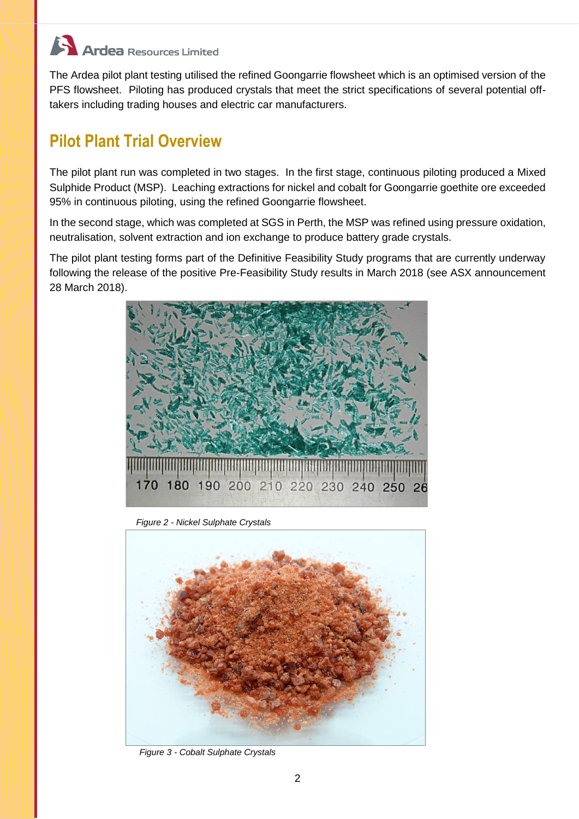## **Ardea** Resources Limited

The Ardea pilot plant testing utilised the refined Goongarrie flowsheet which is an optimised version of the PFS flowsheet. Piloting has produced crystals that meet the strict specifications of several potential offtakers including trading houses and electric car manufacturers.

### **Pilot Plant Trial Overview**

The pilot plant run was completed in two stages. In the first stage, continuous piloting produced a Mixed Sulphide Product (MSP). Leaching extractions for nickel and cobalt for Goongarrie goethite ore exceeded 95% in continuous piloting, using the refined Goongarrie flowsheet.

In the second stage, which was completed at SGS in Perth, the MSP was refined using pressure oxidation, neutralisation, solvent extraction and ion exchange to produce battery grade crystals.

The pilot plant testing forms part of the Definitive Feasibility Study programs that are currently underway following the release of the positive Pre-Feasibility Study results in March 2018 (see ASX announcement 28 March 2018).



*Figure 2 - Nickel Sulphate Crystals*



*Figure 3 - Cobalt Sulphate Crystals*